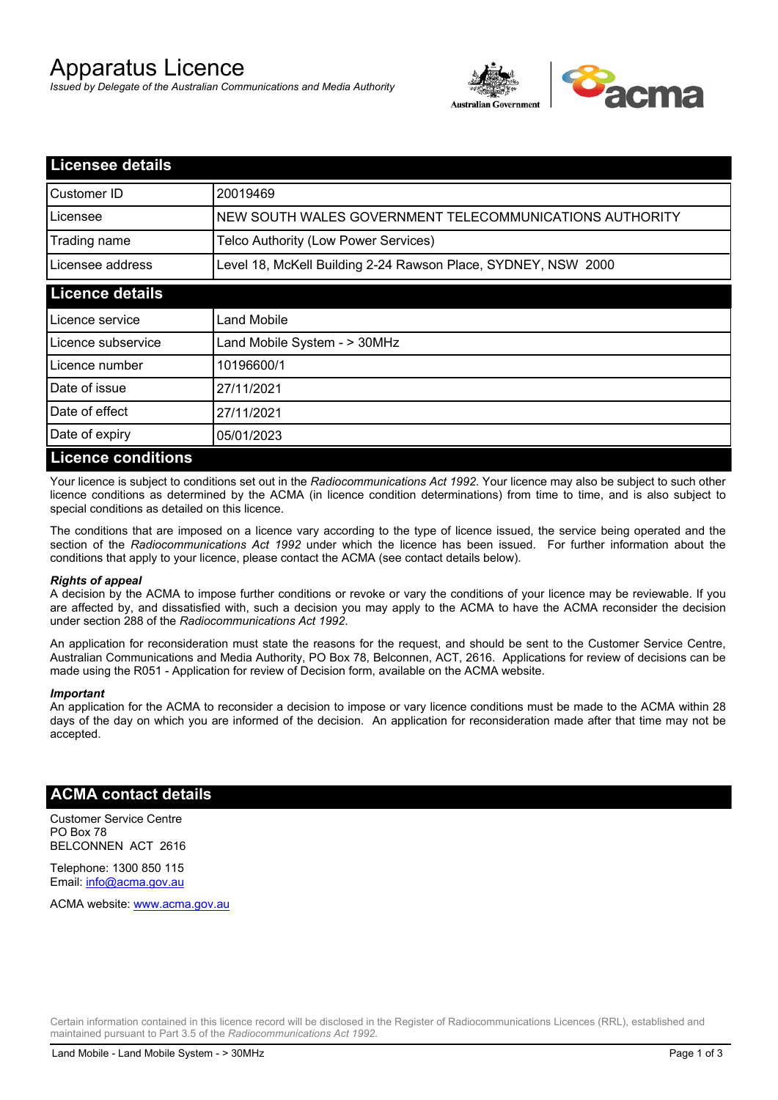# Apparatus Licence

*Issued by Delegate of the Australian Communications and Media Authority*



| <b>Licensee details</b>   |                                                               |
|---------------------------|---------------------------------------------------------------|
| Customer ID               | 20019469                                                      |
| Licensee                  | NEW SOUTH WALES GOVERNMENT TELECOMMUNICATIONS AUTHORITY       |
| Trading name              | Telco Authority (Low Power Services)                          |
| Licensee address          | Level 18, McKell Building 2-24 Rawson Place, SYDNEY, NSW 2000 |
| <b>Licence details</b>    |                                                               |
| Licence service           | Land Mobile                                                   |
| Licence subservice        | Land Mobile System - > 30MHz                                  |
| Licence number            | 10196600/1                                                    |
| Date of issue             | 27/11/2021                                                    |
| Date of effect            | 27/11/2021                                                    |
| Date of expiry            | 05/01/2023                                                    |
| <b>Licence conditions</b> |                                                               |

Your licence is subject to conditions set out in the *Radiocommunications Act 1992*. Your licence may also be subject to such other licence conditions as determined by the ACMA (in licence condition determinations) from time to time, and is also subject to special conditions as detailed on this licence.

The conditions that are imposed on a licence vary according to the type of licence issued, the service being operated and the section of the *Radiocommunications Act 1992* under which the licence has been issued. For further information about the conditions that apply to your licence, please contact the ACMA (see contact details below).

### *Rights of appeal*

A decision by the ACMA to impose further conditions or revoke or vary the conditions of your licence may be reviewable. If you are affected by, and dissatisfied with, such a decision you may apply to the ACMA to have the ACMA reconsider the decision under section 288 of the *Radiocommunications Act 1992*.

An application for reconsideration must state the reasons for the request, and should be sent to the Customer Service Centre, Australian Communications and Media Authority, PO Box 78, Belconnen, ACT, 2616. Applications for review of decisions can be made using the R051 - Application for review of Decision form, available on the ACMA website.

#### *Important*

An application for the ACMA to reconsider a decision to impose or vary licence conditions must be made to the ACMA within 28 days of the day on which you are informed of the decision. An application for reconsideration made after that time may not be accepted.

### **ACMA contact details**

Customer Service Centre PO Box 78 BELCONNEN ACT 2616

Telephone: 1300 850 115 Email: info@acma.gov.au

ACMA website: www.acma.gov.au

Certain information contained in this licence record will be disclosed in the Register of Radiocommunications Licences (RRL), established and maintained pursuant to Part 3.5 of the *Radiocommunications Act 1992.*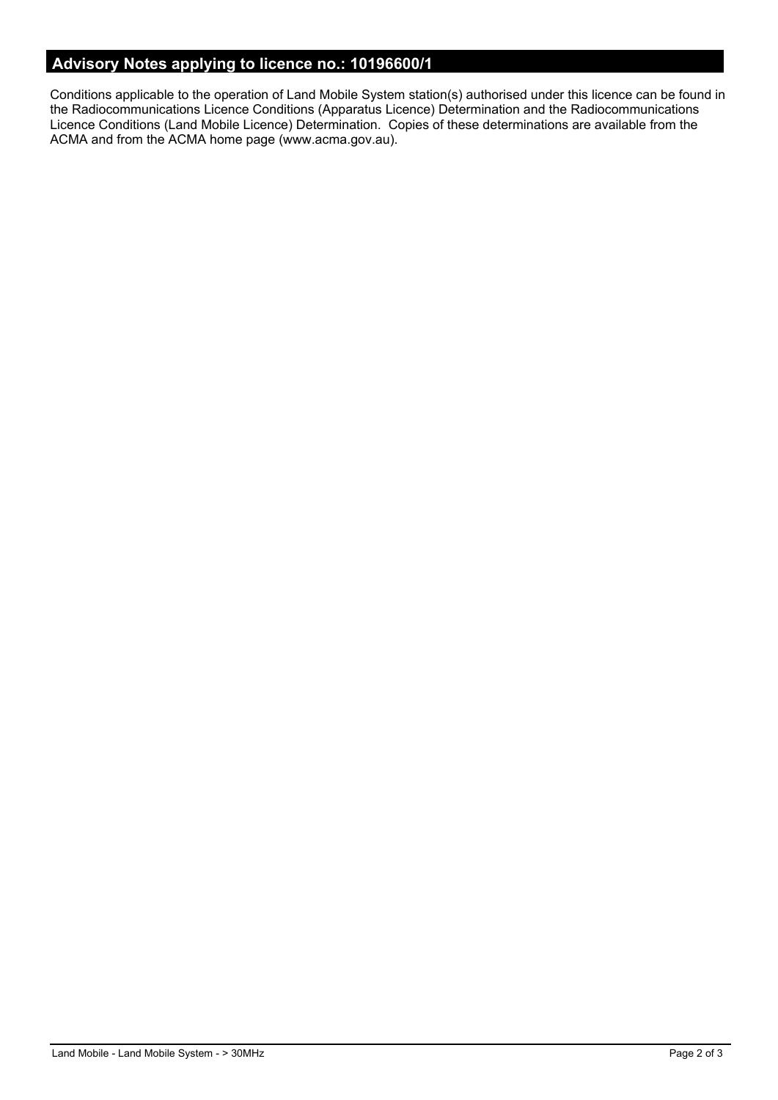# **Advisory Notes applying to licence no.: 10196600/1**

Conditions applicable to the operation of Land Mobile System station(s) authorised under this licence can be found in the Radiocommunications Licence Conditions (Apparatus Licence) Determination and the Radiocommunications Licence Conditions (Land Mobile Licence) Determination. Copies of these determinations are available from the ACMA and from the ACMA home page (www.acma.gov.au).